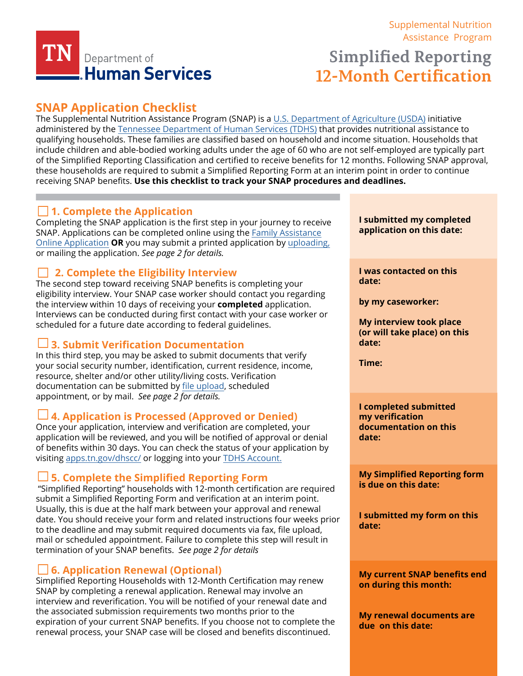

# [Supplemental Nutrition](https://www.tn.gov/humanservices/for-families/supplemental-nutrition-assistance-program-snap.html) [Assistance Program](https://www.tn.gov/humanservices/for-families/supplemental-nutrition-assistance-program-snap.html)  **Simplified Reporting**

**12-Month Certification**

# **SNAP Application Checklist**

The Supplemental Nutrition Assistance Program (SNAP) is a [U.S. Department of Agriculture \(USDA\)](https://www.fns.usda.gov/) initiative administered by the [Tennessee Department of Human Services \(TDHS\)](https://www.tn.gov/content/tn/humanservices.html) that provides nutritional assistance to qualifying households. These families are classified based on household and income situation. Households that include children and able-bodied working adults under the age of 60 who are not self-employed are typically part [of the Simplified Reporting Classification and certified to receive benefits for 12 months. Following SNAP approval,](https://www.fns.usda.gov/)  these households are required to submit a Simplified Reporting Form at an interim point in order to continue receiving SNAP benefits. **Use this checklist to track your SNAP procedures and deadlines.**

# **1. Complete the Application**

Completing the SNAP application is the first step in your journey to receive SNAP. Applications can be completed online using the [Family Assistance](https://faonlineapp.dhs.tn.gov/)  [Online Application](https://faonlineapp.dhs.tn.gov/) **OR** you may submit a printed application by [uploading,](https://fileupload.dhs.tn.gov/) or mailing the application. *See page 2 for details.* 

# **2. Complete the Eligibility Interview**

The second step toward receiving SNAP benefits is completing your eligibility interview. Your SNAP case worker should contact you regarding the interview within 10 days of receiving your **completed** application. Interviews can be conducted during first contact with your case worker or scheduled for a future date according to federal guidelines.

# **3. Submit Verification Documentation**

In this third step, you may be asked to submit documents that verify your social security number, identification, current residence, income, resource, shelter and/or other utility/living costs. Verification documentation can be submitted by [file upload,](https://fileupload.dhs.tn.gov/) scheduled appointment, or by mail. *See page 2 for details.*

# **4. Application is Processed (Approved or Denied)**

Once your application, interview and verification are completed, your application will be reviewed, and you will be notified of approval or denial of benefits within 30 days. You can check the status of your application by visiting [apps.tn.gov/dhscc/](https://apps.tn.gov/dhscc/) or logging into your [TDHS Account.](https://apps.tn.gov/dhsaccess/)

# **5. Complete the Simplified Reporting Form**

"Simplified Reporting" households with 12-month certification are required submit a Simplified Reporting Form and verification at an interim point. Usually, this is due at the half mark between your approval and renewal date. You should receive your form and related instructions four weeks prior to the deadline and may submit required documents via fax, file upload, mail or scheduled appointment. Failure to complete this step will result in termination of your SNAP benefits. *See page 2 for details*

# **6. Application Renewal (Optional)**

Simplified Reporting Households with 12-Month Certification may renew SNAP by completing a renewal application. Renewal may involve an interview and reverification. You will be notified of your renewal date and the associated submission requirements two months prior to the expiration of your current SNAP benefits. If you choose not to complete the renewal process, your SNAP case will be closed and benefits discontinued.

**I submitted my completed application on this date:** 

**I was contacted on this date:** 

**by my caseworker:**

**My interview took place (or will take place) on this date:** 

**Time:** 

**I completed submitted my verification documentation on this date:** 

**My Simplified Reporting form is due on this date:** 

**I submitted my form on this date:** 

**My current SNAP benefits end on during this month:** 

**My renewal documents are due on this date:**